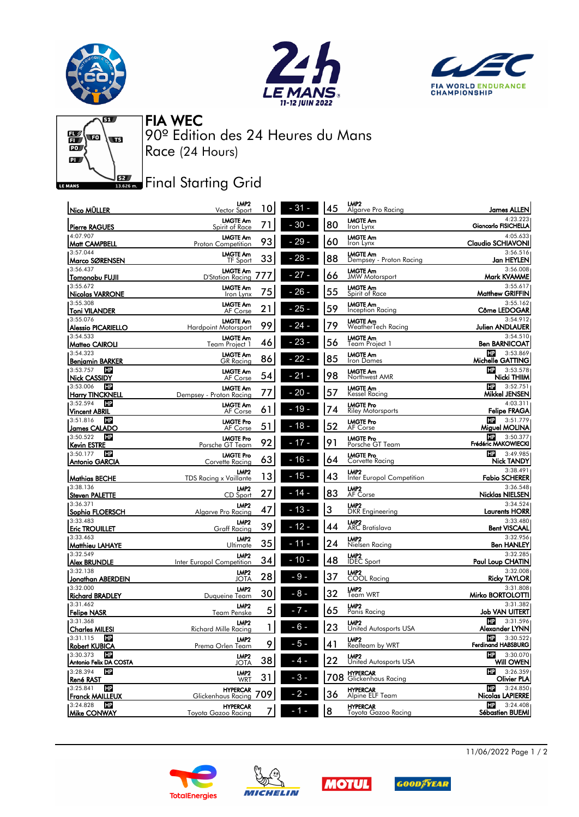





 $\overline{\mathbf{c}}$  $\frac{1}{10}$ **TER**  $\overline{\mathbf{a}}$ LE MANS

90º Edition des 24 Heures du Mans FIA WEC Race (24 Hours)

## **J**BZ Final Starting Grid

| Nico MÜLLER                                     | LMP <sub>2</sub><br>Vector Sport               | 10            | $-31-$ | 45 | LMP <sub>2</sub><br>Algarve Pro Racing        | James ALLEN                                         |
|-------------------------------------------------|------------------------------------------------|---------------|--------|----|-----------------------------------------------|-----------------------------------------------------|
| Pierre RAGUES                                   | <b>LMGTE Am</b><br>Spirit of Race              | 71            | $-30-$ | 80 | <b>LMGTE Am</b><br>Iron Lynx                  | 4:23.223<br>Giancarlo FISICHELLA                    |
| 4:07.907<br> Matt CAMPBELL                      | <b>LMGTE Am</b><br>Proton Competition          | 93            | $-29-$ | 60 | <b>LMGTE Am</b><br>Iron Lynx                  | 4:05.633<br>Claudio SCHIAVONI                       |
| 3:57.044<br> Marco SØRENSEN                     | <b>LMGTE Am</b><br>TF Sport                    | 33            | $-28-$ | 88 | <b>LMGTE Am</b><br>Dempsey - Proton Racing    | 3:56.516<br>Jan HEYLEN                              |
| 3:56.437                                        | <b>LMGTE Am</b>                                | $\frac{1}{2}$ | $-27-$ | 66 | <b>LMGTE Am</b><br><b>JMW Motorsport</b>      | 3:56.008<br>Mark KVAMME                             |
| Tomonobu FUJII<br>3:55.672                      | <b>D'Station Racing</b><br><b>LMGTE Am</b>     |               |        |    | <b>LMGTE Am</b>                               | 3:55.617                                            |
| Nicolas VARRONE                                 | Iron Lynx                                      | 75            | $26 -$ | 55 | Spirit of Race                                | <b>Matthew GRIFFIN</b>                              |
| 3:55.308<br>Toni VILANDER                       | <b>LMGTE Am</b><br>AF Corse                    | 21            | $25 -$ | 59 | <b>LMGTE Am</b><br>Inception Racing           | 3:55.162<br>Côme LEDOGAR                            |
| 3:55.076<br><b>Alessio PICARIELLO</b>           | <b>LMGTE Am</b><br><b>Hardpoint Motorsport</b> | 99            | $-24$  | 79 | <b>LMGTE Am</b><br>WeatherTech Racing         | 3:54.912<br><b>Julien ANDLAUER</b>                  |
| 3:54.533<br>Matteo CAIROLI                      | <b>LMGTE Am</b><br>Team Project 1              | 46            | $-23-$ | 56 | <b>LMGTE Am</b><br>Team Project 1             | 3:54.510<br><b>Ben BARNICOAT</b>                    |
| 3:54.323<br>Benjamin BARKER                     | <b>LMGTE Am</b><br>GR Racing                   | 86            | $-22-$ | 85 | <b>LMGTE Am</b><br>Iron Dames                 | HP<br>3:53.869<br>Michelle GATTING                  |
| 3:53.757<br>HP                                  | <b>LMGTE Am</b>                                |               |        |    | <b>LMGTE Am</b>                               | HP<br>3:53.578                                      |
| Nick CASSIDY<br><b>HP</b><br>3:53.006           | AF Corse                                       | 54            | 21     | 98 | Northwest AMR                                 | Nicki THIIM<br>HP<br>3:52.751                       |
| Harry TINCKNELL                                 | <b>LMGTE Am</b><br>Dempsey - Proton Racing     | 77            | $-20-$ | 57 | <b>LMGTE Am</b><br>Kessel Racing              | Mikkel JENSEN                                       |
| 3:52.594<br>HP<br><b>Vincent ABRIL</b>          | <b>LMGTE Am</b><br>AF Corse                    | 61            | $19 -$ | 74 | <b>LMGTE Pro</b><br><b>Riley Motorsports</b>  | 4:03.311<br><b>Felipe FRAGA</b>                     |
| <b>HP</b><br>3:51.816<br>James CALADO           | <b>LMGTE Pro</b><br>AF Corse                   | 51            | $18 -$ | 52 | <b>LMGTE Pro</b><br>AF Corse                  | HP.<br>3:51.779<br>Miguel MOLINA                    |
| HP<br>3:50.522                                  | <b>LMGTE Pro</b>                               |               |        |    | <b>LMGTE Pro</b>                              | HP<br>3:50.377                                      |
| Kevin ESTRE<br>HP<br>3:50.177                   | Porsche GT Team                                | 92            | 17 -   | 91 | Porsche GT Team                               | Frédéric MAKOWIECKI                                 |
| <b>Antonio GARCIA</b>                           | <b>LMGTE Pro</b><br>Corvette Racing            | 63            | - 16 - | 64 | <b>LMGTE Pro</b><br>Corvette Racing           | HP<br>3:49.985<br>Nick TANDY                        |
| Mathias BECHE                                   | LMP2<br><b>TDS Racing x Vaillante</b>          | 13            | - 15 - | 43 | LMP <sub>2</sub><br>Inter Europol Competition | 3:38.491<br><b>Fabio SCHERER</b>                    |
| 3:38.136<br><b>Steven PALETTE</b>               | LMP2<br>CD Sport                               | 27            | $14 -$ | 83 | LMP <sub>2</sub><br>AF Corse                  | 3:36.548<br>Nicklas NIELSEN                         |
| 3:36.371<br> Sophia FLOERSCH                    | LMP <sub>2</sub><br>Algarve Pro Racing         | 47            | - 13 - | 3  | LMP <sub>2</sub><br><b>DKR</b> Engineering    | 3:34.524<br><b>Laurents HORR</b>                    |
| 3:33.483                                        | LMP2                                           |               |        |    | LMP <sub>2</sub>                              | 3:33.480                                            |
| <b>Eric TROUILLET</b>                           | Graff Racing                                   | 39            | - 12 - | 44 | <b>ARC</b> Bratislava                         | <b>Bent VISCAAL</b>                                 |
| 3:33.463<br>Matthieu LAHAYE                     | LMP <sub>2</sub><br>Ultimate                   | 35            | 11 -   | 24 | LMP <sub>2</sub><br>Nielsen Racing            | 3:32.956<br><b>Ben HANLEY</b>                       |
| 3:32.549<br><b>Alex BRUNDLE</b>                 | LMP <sub>2</sub><br>Inter Europol Competition  | 34            | $10 -$ | 48 | <b>LMP2</b><br>IDEC Sport                     | 3:32.285<br>Paul Loup CHATIN                        |
| 3:32.138<br> Jonathan ABERDEIN                  | LMP <sub>2</sub><br>JOTA                       | 28            | 9      | 37 | LMP <sub>2</sub><br>COOL Racing               | 3:32.008<br><b>Ricky TAYLOR</b>                     |
| 3:32.000                                        | LMP <sub>2</sub>                               |               |        |    | LMP <sub>2</sub>                              | 3:31.808                                            |
| <b>Richard BRADLEY</b><br>3:31.462              | Duqueine Team                                  | 30            | $8 -$  | 32 | Team WRT                                      | Mirko BORTOLOTTI<br>3:31.382                        |
| Felipe NASR                                     | LMP <sub>2</sub><br>Team Penske                | 5             | $7 -$  | 65 | LMP <sub>2</sub><br>Panis Racing              | Job VAN UITERT                                      |
| 3:31.368<br> Charles MILESI                     | LMP <sub>2</sub><br>Richard Mille Racina       | 1             | - 6 -  | 23 | LMP <sub>2</sub><br>United Autosports USA     | HP<br>3:31.596<br>Alexander LYNN                    |
| 3:31.115 <b>H</b><br><b>Robert KUBICA</b>       | LMP <sub>2</sub><br>Prema Orlen Team           | 9             | - 5 -  | 41 | LMP <sub>2</sub><br>Realteam by WRT           | $\frac{1}{2}$ 3:30.522<br><b>Ferdinand HABSBURG</b> |
| 3:30.373<br><b>HP</b><br>Antonio Felix DA COSTA | LMP2<br><b>JOTA</b>                            | 38            | - 4 -  | 22 | LMP2<br>United Autosports USA                 | $\mathbf{H}^2$ 3:30.070<br>Will OWEN                |
| 3:28.394<br><b>HP</b>                           | LMP2                                           | 31            | - 3 -  |    | <b>HYPERCAR</b><br>708 Glickenhaus Racing     | HP<br>3:26.359                                      |
| <u>René RA</u> ST<br><b>HP</b><br>3:25.841      | WRT<br><b>HYPERCAR</b>                         |               |        |    |                                               | Olivier PLA<br>3:24.850<br>HP.                      |
| <b>Franck MAILLEUX</b>                          | Glickenhaus Racing                             | 709           | $2 -$  | 36 | <b>HYPERCAR</b><br>Alpine ELF Team            | <b>Nicolas LAPIERRE</b>                             |
| 3:24.828<br><b>HP</b><br>Mike CONWAY            | <b>HYPERCAR</b><br>Toyota Gazoo Racing         |               |        | 8  | <b>HYPERCAR</b><br>Toyota Gazoo Racing        | $\frac{1}{2}$ 3:24.408<br>Sébastien BUEMI           |

11/06/2022 Page 1 / 2